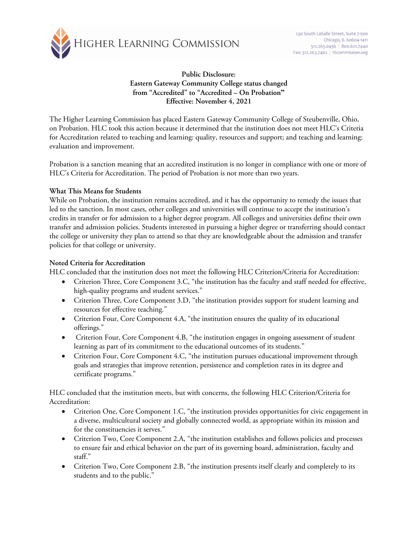

**Public Disclosure: Eastern Gateway Community College status changed from "Accredited" to "Accredited – On Probation" Effective: November 4, 2021**

The Higher Learning Commission has placed Eastern Gateway Community College of Steubenville, Ohio, on Probation. HLC took this action because it determined that the institution does not meet HLC's Criteria for Accreditation related to teaching and learning: quality, resources and support; and teaching and learning: evaluation and improvement.

Probation is a sanction meaning that an accredited institution is no longer in compliance with one or more of HLC's Criteria for Accreditation. The period of Probation is not more than two years.

## **What This Means for Students**

While on Probation, the institution remains accredited, and it has the opportunity to remedy the issues that led to the sanction. In most cases, other colleges and universities will continue to accept the institution's credits in transfer or for admission to a higher degree program. All colleges and universities define their own transfer and admission policies. Students interested in pursuing a higher degree or transferring should contact the college or university they plan to attend so that they are knowledgeable about the admission and transfer policies for that college or university.

## **Noted Criteria for Accreditation**

HLC concluded that the institution does not meet the following HLC Criterion/Criteria for Accreditation:

- Criterion Three, Core Component 3.C, "the institution has the faculty and staff needed for effective, high-quality programs and student services."
- Criterion Three, Core Component 3.D, "the institution provides support for student learning and resources for effective teaching."
- Criterion Four, Core Component 4.A, "the institution ensures the quality of its educational offerings."
- Criterion Four, Core Component 4.B, "the institution engages in ongoing assessment of student learning as part of its commitment to the educational outcomes of its students."
- Criterion Four, Core Component 4.C, "the institution pursues educational improvement through goals and strategies that improve retention, persistence and completion rates in its degree and certificate programs."

HLC concluded that the institution meets, but with concerns, the following HLC Criterion/Criteria for Accreditation:

- Criterion One, Core Component 1.C, "the institution provides opportunities for civic engagement in a diverse, multicultural society and globally connected world, as appropriate within its mission and for the constituencies it serves."
- Criterion Two, Core Component 2.A, "the institution establishes and follows policies and processes to ensure fair and ethical behavior on the part of its governing board, administration, faculty and staff."
- Criterion Two, Core Component 2.B, "the institution presents itself clearly and completely to its students and to the public."